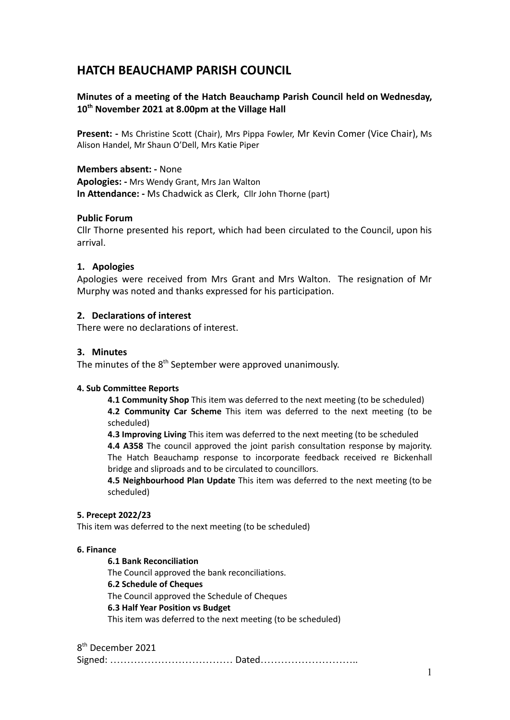## **HATCH BEAUCHAMP PARISH COUNCIL**

## **Minutes of a meeting of the Hatch Beauchamp Parish Council held on Wednesday, 10th November 2021 at 8.00pm at the Village Hall**

**Present: -** Ms Christine Scott (Chair), Mrs Pippa Fowler, Mr Kevin Comer (Vice Chair), Ms Alison Handel, Mr Shaun O'Dell, Mrs Katie Piper

#### **Members absent: -** None

**Apologies: -** Mrs Wendy Grant, Mrs Jan Walton **In Attendance: -** Ms Chadwick as Clerk, Cllr John Thorne (part)

#### **Public Forum**

Cllr Thorne presented his report, which had been circulated to the Council, upon his arrival.

#### **1. Apologies**

Apologies were received from Mrs Grant and Mrs Walton. The resignation of Mr Murphy was noted and thanks expressed for his participation.

### **2. Declarations of interest**

There were no declarations of interest.

#### **3. Minutes**

The minutes of the 8<sup>th</sup> September were approved unanimously.

#### **4. Sub Committee Reports**

**4.1 Community Shop** This item was deferred to the next meeting (to be scheduled) **4.2 Community Car Scheme** This item was deferred to the next meeting (to be scheduled)

**4.3 Improving Living** This item was deferred to the next meeting (to be scheduled **4.4 A358** The council approved the joint parish consultation response by majority. The Hatch Beauchamp response to incorporate feedback received re Bickenhall bridge and sliproads and to be circulated to councillors.

**4.5 Neighbourhood Plan Update** This item was deferred to the next meeting (to be scheduled)

#### **5. Precept 2022/23**

This item was deferred to the next meeting (to be scheduled)

#### **6. Finance**

#### **6.1 Bank Reconciliation**

The Council approved the bank reconciliations. **6.2 Schedule of Cheques** The Council approved the Schedule of Cheques **6.3 Half Year Position vs Budget** This item was deferred to the next meeting (to be scheduled)

8 th December 2021

Signed: ……………………………… Dated………………………..